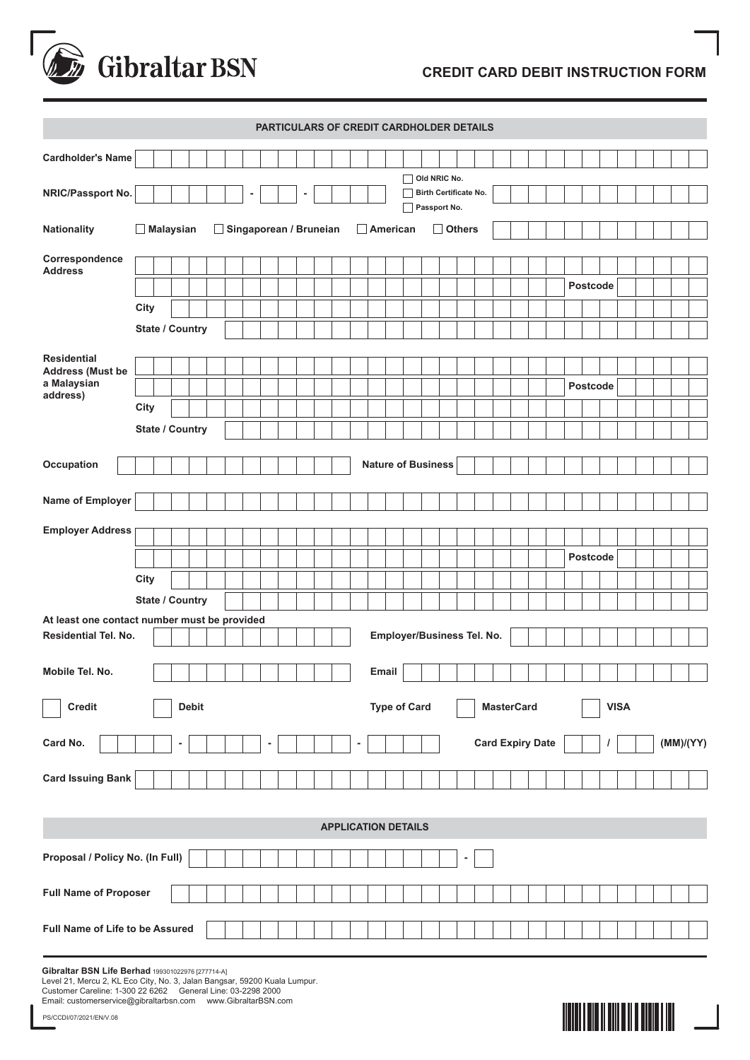

## **CREDIT CARD DEBIT INSTRUCTION FORM**

| PARTICULARS OF CREDIT CARDHOLDER DETAILS                         |      |  |                        |                 |  |  |   |  |                 |   |  |               |   |       |  |                            |  |                                       |   |                            |                   |  |  |  |  |          |  |             |  |  |           |  |  |
|------------------------------------------------------------------|------|--|------------------------|-----------------|--|--|---|--|-----------------|---|--|---------------|---|-------|--|----------------------------|--|---------------------------------------|---|----------------------------|-------------------|--|--|--|--|----------|--|-------------|--|--|-----------|--|--|
| <b>Cardholder's Name</b>                                         |      |  |                        |                 |  |  |   |  |                 |   |  |               |   |       |  |                            |  |                                       |   |                            |                   |  |  |  |  |          |  |             |  |  |           |  |  |
|                                                                  |      |  |                        |                 |  |  |   |  |                 |   |  |               |   |       |  |                            |  | Old NRIC No.                          |   |                            |                   |  |  |  |  |          |  |             |  |  |           |  |  |
| NRIC/Passport No.                                                |      |  |                        |                 |  |  | ۰ |  |                 | ٠ |  |               |   |       |  |                            |  | Birth Certificate No.<br>Passport No. |   |                            |                   |  |  |  |  |          |  |             |  |  |           |  |  |
| <b>Nationality</b><br>$\Box$ Malaysian<br>Singaporean / Bruneian |      |  |                        |                 |  |  |   |  | $\Box$ American |   |  | $\Box$ Others |   |       |  |                            |  |                                       |   |                            |                   |  |  |  |  |          |  |             |  |  |           |  |  |
| Correspondence<br><b>Address</b>                                 |      |  |                        |                 |  |  |   |  |                 |   |  |               |   |       |  |                            |  |                                       |   |                            |                   |  |  |  |  |          |  |             |  |  |           |  |  |
|                                                                  |      |  |                        |                 |  |  |   |  |                 |   |  |               |   |       |  |                            |  |                                       |   |                            |                   |  |  |  |  | Postcode |  |             |  |  |           |  |  |
|                                                                  | City |  |                        |                 |  |  |   |  |                 |   |  |               |   |       |  |                            |  |                                       |   |                            |                   |  |  |  |  |          |  |             |  |  |           |  |  |
|                                                                  |      |  | <b>State / Country</b> |                 |  |  |   |  |                 |   |  |               |   |       |  |                            |  |                                       |   |                            |                   |  |  |  |  |          |  |             |  |  |           |  |  |
| <b>Residential</b><br><b>Address (Must be</b>                    |      |  |                        |                 |  |  |   |  |                 |   |  |               |   |       |  |                            |  |                                       |   |                            |                   |  |  |  |  |          |  |             |  |  |           |  |  |
| a Malaysian<br>address)                                          |      |  |                        |                 |  |  |   |  |                 |   |  |               |   |       |  |                            |  |                                       |   |                            |                   |  |  |  |  | Postcode |  |             |  |  |           |  |  |
|                                                                  | City |  |                        |                 |  |  |   |  |                 |   |  |               |   |       |  |                            |  |                                       |   |                            |                   |  |  |  |  |          |  |             |  |  |           |  |  |
|                                                                  |      |  |                        | State / Country |  |  |   |  |                 |   |  |               |   |       |  |                            |  |                                       |   |                            |                   |  |  |  |  |          |  |             |  |  |           |  |  |
|                                                                  |      |  |                        |                 |  |  |   |  |                 |   |  |               |   |       |  | <b>Nature of Business</b>  |  |                                       |   |                            |                   |  |  |  |  |          |  |             |  |  |           |  |  |
| Occupation                                                       |      |  |                        |                 |  |  |   |  |                 |   |  |               |   |       |  |                            |  |                                       |   |                            |                   |  |  |  |  |          |  |             |  |  |           |  |  |
| Name of Employer                                                 |      |  |                        |                 |  |  |   |  |                 |   |  |               |   |       |  |                            |  |                                       |   |                            |                   |  |  |  |  |          |  |             |  |  |           |  |  |
| <b>Employer Address</b>                                          |      |  |                        |                 |  |  |   |  |                 |   |  |               |   |       |  |                            |  |                                       |   |                            |                   |  |  |  |  |          |  |             |  |  |           |  |  |
|                                                                  |      |  |                        |                 |  |  |   |  |                 |   |  |               |   |       |  |                            |  |                                       |   |                            |                   |  |  |  |  | Postcode |  |             |  |  |           |  |  |
|                                                                  | City |  |                        |                 |  |  |   |  |                 |   |  |               |   |       |  |                            |  |                                       |   |                            |                   |  |  |  |  |          |  |             |  |  |           |  |  |
|                                                                  |      |  |                        | State / Country |  |  |   |  |                 |   |  |               |   |       |  |                            |  |                                       |   |                            |                   |  |  |  |  |          |  |             |  |  |           |  |  |
| At least one contact number must be provided                     |      |  |                        |                 |  |  |   |  |                 |   |  |               |   |       |  |                            |  |                                       |   |                            |                   |  |  |  |  |          |  |             |  |  |           |  |  |
| <b>Residential Tel. No.</b>                                      |      |  |                        |                 |  |  |   |  |                 |   |  |               |   |       |  |                            |  |                                       |   | Employer/Business Tel. No. |                   |  |  |  |  |          |  |             |  |  |           |  |  |
| Mobile Tel. No.                                                  |      |  |                        |                 |  |  |   |  |                 |   |  |               |   | Email |  |                            |  |                                       |   |                            |                   |  |  |  |  |          |  |             |  |  |           |  |  |
|                                                                  |      |  |                        |                 |  |  |   |  |                 |   |  |               |   |       |  |                            |  |                                       |   |                            |                   |  |  |  |  |          |  |             |  |  |           |  |  |
| Credit                                                           |      |  |                        | <b>Debit</b>    |  |  |   |  |                 |   |  |               |   |       |  | <b>Type of Card</b>        |  |                                       |   |                            | <b>MasterCard</b> |  |  |  |  |          |  | <b>VISA</b> |  |  |           |  |  |
| Card No.                                                         |      |  | ٠                      |                 |  |  |   |  |                 |   |  |               | ٠ |       |  |                            |  |                                       |   | <b>Card Expiry Date</b>    |                   |  |  |  |  |          |  |             |  |  | (MM)/(YY) |  |  |
| <b>Card Issuing Bank</b>                                         |      |  |                        |                 |  |  |   |  |                 |   |  |               |   |       |  |                            |  |                                       |   |                            |                   |  |  |  |  |          |  |             |  |  |           |  |  |
|                                                                  |      |  |                        |                 |  |  |   |  |                 |   |  |               |   |       |  |                            |  |                                       |   |                            |                   |  |  |  |  |          |  |             |  |  |           |  |  |
|                                                                  |      |  |                        |                 |  |  |   |  |                 |   |  |               |   |       |  | <b>APPLICATION DETAILS</b> |  |                                       |   |                            |                   |  |  |  |  |          |  |             |  |  |           |  |  |
| Proposal / Policy No. (In Full)                                  |      |  |                        |                 |  |  |   |  |                 |   |  |               |   |       |  |                            |  |                                       | ۰ |                            |                   |  |  |  |  |          |  |             |  |  |           |  |  |
| <b>Full Name of Proposer</b>                                     |      |  |                        |                 |  |  |   |  |                 |   |  |               |   |       |  |                            |  |                                       |   |                            |                   |  |  |  |  |          |  |             |  |  |           |  |  |
|                                                                  |      |  |                        |                 |  |  |   |  |                 |   |  |               |   |       |  |                            |  |                                       |   |                            |                   |  |  |  |  |          |  |             |  |  |           |  |  |
| Full Name of Life to be Assured                                  |      |  |                        |                 |  |  |   |  |                 |   |  |               |   |       |  |                            |  |                                       |   |                            |                   |  |  |  |  |          |  |             |  |  |           |  |  |

**Gibraltar BSN Life Berhad** 199301022976 [277714-A]

Level 21, Mercu 2, KL Eco City, No. 3, Jalan Bangsar, 59200 Kuala Lumpur. Customer Careline: 1-300 22 6262 General Line: 03-2298 2000 Email: customerservice@gibraltarbsn.com www.GibraltarBSN.com